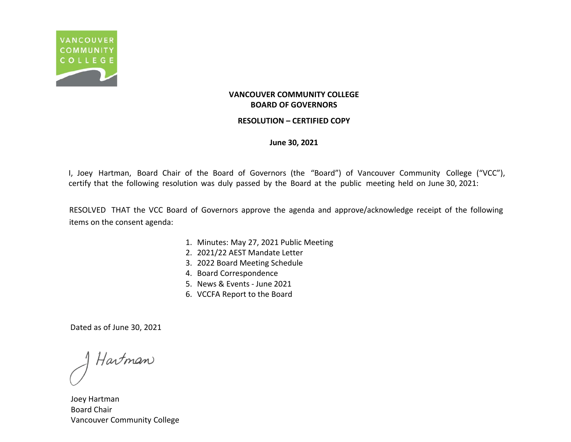

### **RESOLUTION – CERTIFIED COPY**

**June 30, 2021**

I, Joey Hartman, Board Chair of the Board of Governors (the "Board") of Vancouver Community College ("VCC"), certify that the following resolution was duly passed by the Board at the public meeting held on June 30, 2021:

RESOLVED THAT the VCC Board of Governors approve the agenda and approve/acknowledge receipt of the following items on the consent agenda:

- 1. Minutes: May 27, 2021 Public Meeting
- 2. 2021/22 AEST Mandate Letter
- 3. 2022 Board Meeting Schedule
- 4. Board Correspondence
- 5. News & Events June 2021
- 6. VCCFA Report to the Board

Hartman

Joey Hartman Board Chair Vancouver Community College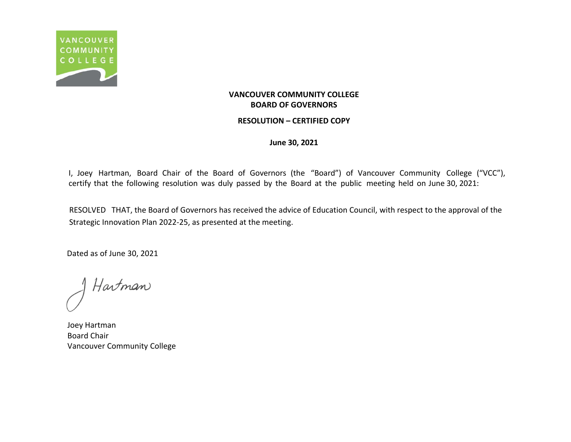

### **RESOLUTION – CERTIFIED COPY**

**June 30, 2021**

I, Joey Hartman, Board Chair of the Board of Governors (the "Board") of Vancouver Community College ("VCC"), certify that the following resolution was duly passed by the Board at the public meeting held on June 30, 2021:

RESOLVED THAT, the Board of Governors has received the advice of Education Council, with respect to the approval of the Strategic Innovation Plan 2022-25, as presented at the meeting.

Hartman

Joey Hartman Board Chair Vancouver Community College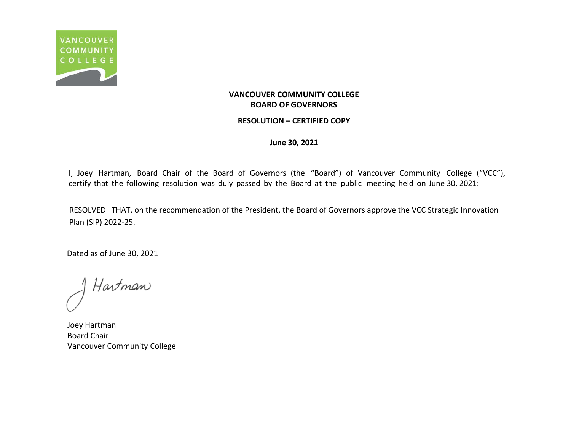

### **RESOLUTION – CERTIFIED COPY**

**June 30, 2021**

I, Joey Hartman, Board Chair of the Board of Governors (the "Board") of Vancouver Community College ("VCC"), certify that the following resolution was duly passed by the Board at the public meeting held on June 30, 2021:

RESOLVED THAT, on the recommendation of the President, the Board of Governors approve the VCC Strategic Innovation Plan (SIP) 2022-25.

Hartman

Joey Hartman Board Chair Vancouver Community College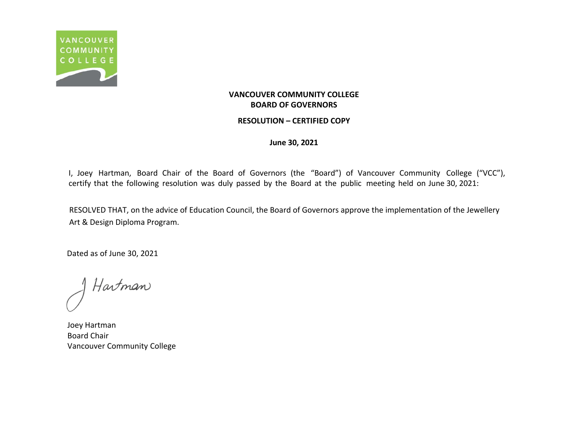

### **RESOLUTION – CERTIFIED COPY**

**June 30, 2021**

I, Joey Hartman, Board Chair of the Board of Governors (the "Board") of Vancouver Community College ("VCC"), certify that the following resolution was duly passed by the Board at the public meeting held on June 30, 2021:

RESOLVED THAT, on the advice of Education Council, the Board of Governors approve the implementation of the Jewellery Art & Design Diploma Program.

Hartman

Joey Hartman Board Chair Vancouver Community College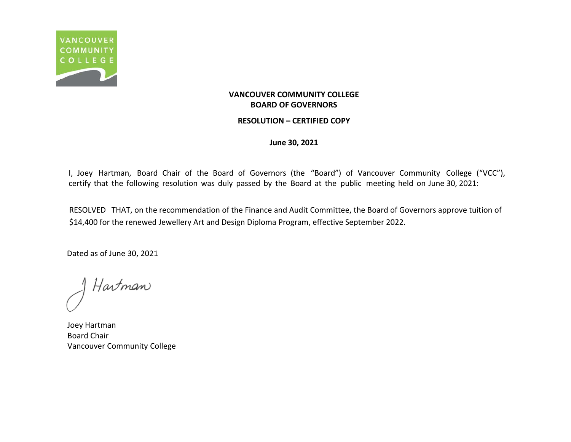

### **RESOLUTION – CERTIFIED COPY**

**June 30, 2021**

I, Joey Hartman, Board Chair of the Board of Governors (the "Board") of Vancouver Community College ("VCC"), certify that the following resolution was duly passed by the Board at the public meeting held on June 30, 2021:

RESOLVED THAT, on the recommendation of the Finance and Audit Committee, the Board of Governors approve tuition of \$14,400 for the renewed Jewellery Art and Design Diploma Program, effective September 2022.

Hartman

Joey Hartman Board Chair Vancouver Community College